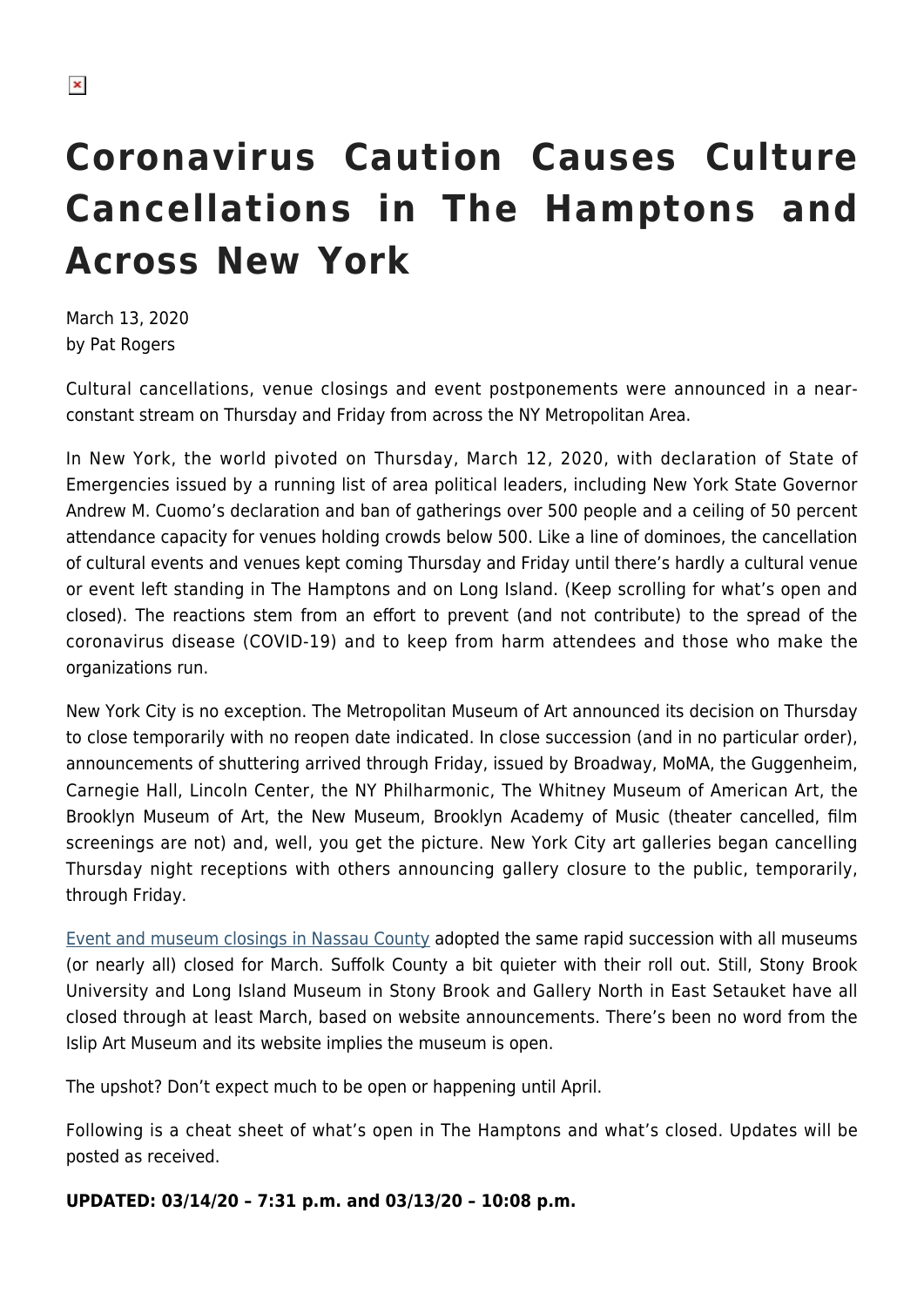# **Coronavirus Caution Causes Culture Cancellations in The Hamptons and Across New York**

March 13, 2020 by Pat Rogers

Cultural cancellations, venue closings and event postponements were announced in a nearconstant stream on Thursday and Friday from across the NY Metropolitan Area.

In New York, the world pivoted on Thursday, March 12, 2020, with declaration of State of Emergencies issued by a running list of area political leaders, including New York State Governor Andrew M. Cuomo's declaration and ban of gatherings over 500 people and a ceiling of 50 percent attendance capacity for venues holding crowds below 500. Like a line of dominoes, the cancellation of cultural events and venues kept coming Thursday and Friday until there's hardly a cultural venue or event left standing in The Hamptons and on Long Island. (Keep scrolling for what's open and closed). The reactions stem from an effort to prevent (and not contribute) to the spread of the coronavirus disease (COVID-19) and to keep from harm attendees and those who make the organizations run.

New York City is no exception. The Metropolitan Museum of Art announced its decision on Thursday to close temporarily with no reopen date indicated. In close succession (and in no particular order), announcements of shuttering arrived through Friday, issued by Broadway, MoMA, the Guggenheim, Carnegie Hall, Lincoln Center, the NY Philharmonic, The Whitney Museum of American Art, the Brooklyn Museum of Art, the New Museum, Brooklyn Academy of Music (theater cancelled, film screenings are not) and, well, you get the picture. New York City art galleries began cancelling Thursday night receptions with others announcing gallery closure to the public, temporarily, through Friday.

[Event and museum closings in Nassau County](https://www.newsday.com/news/health/schools-closed-coronavirus-1.43010701#user=&utm_source=newsletter&utm_medium=email&utm_campaign=Breaking-news-only) adopted the same rapid succession with all museums (or nearly all) closed for March. Suffolk County a bit quieter with their roll out. Still, Stony Brook University and Long Island Museum in Stony Brook and Gallery North in East Setauket have all closed through at least March, based on website announcements. There's been no word from the Islip Art Museum and its website implies the museum is open.

The upshot? Don't expect much to be open or happening until April.

Following is a cheat sheet of what's open in The Hamptons and what's closed. Updates will be posted as received.

**UPDATED: 03/14/20 – 7:31 p.m. and 03/13/20 – 10:08 p.m.**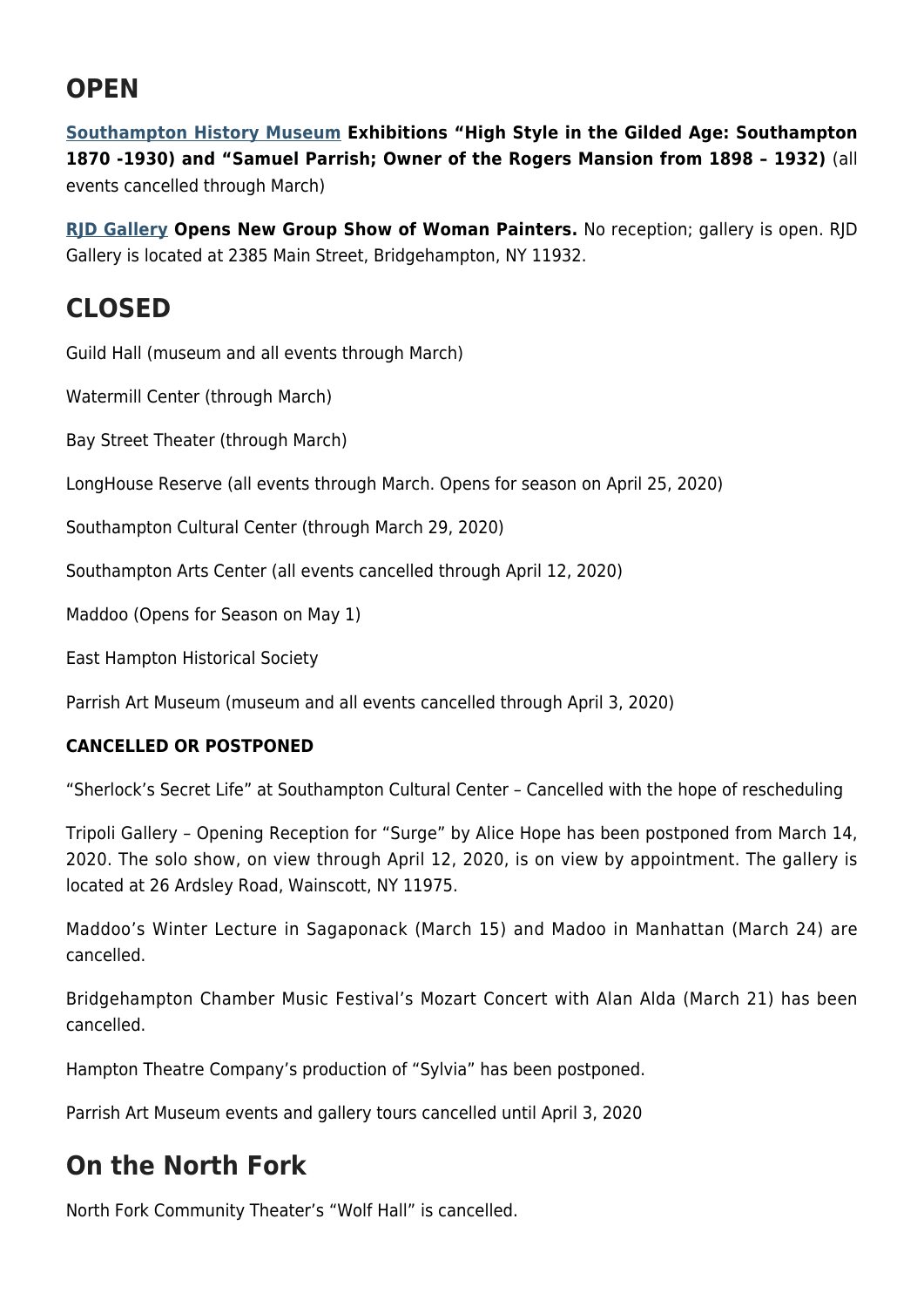## **OPEN**

**[Southampton History Museum](https://www.southamptonhistory.org/) Exhibitions "High Style in the Gilded Age: Southampton 1870 -1930) and "Samuel Parrish; Owner of the Rogers Mansion from 1898 – 1932)** (all events cancelled through March)

**[RJD Gallery](http://rjdgallery.com/) Opens New Group Show of Woman Painters.** No reception; gallery is open. RJD Gallery is located at 2385 Main Street, Bridgehampton, NY 11932.

## **CLOSED**

Guild Hall (museum and all events through March)

Watermill Center (through March)

Bay Street Theater (through March)

LongHouse Reserve (all events through March. Opens for season on April 25, 2020)

Southampton Cultural Center (through March 29, 2020)

Southampton Arts Center (all events cancelled through April 12, 2020)

Maddoo (Opens for Season on May 1)

East Hampton Historical Society

Parrish Art Museum (museum and all events cancelled through April 3, 2020)

#### **CANCELLED OR POSTPONED**

"Sherlock's Secret Life" at Southampton Cultural Center – Cancelled with the hope of rescheduling

Tripoli Gallery – Opening Reception for "Surge" by Alice Hope has been postponed from March 14, 2020. The solo show, on view through April 12, 2020, is on view by appointment. The gallery is located at 26 Ardsley Road, Wainscott, NY 11975.

Maddoo's Winter Lecture in Sagaponack (March 15) and Madoo in Manhattan (March 24) are cancelled.

Bridgehampton Chamber Music Festival's Mozart Concert with Alan Alda (March 21) has been cancelled.

Hampton Theatre Company's production of "Sylvia" has been postponed.

Parrish Art Museum events and gallery tours cancelled until April 3, 2020

## **On the North Fork**

North Fork Community Theater's "Wolf Hall" is cancelled.